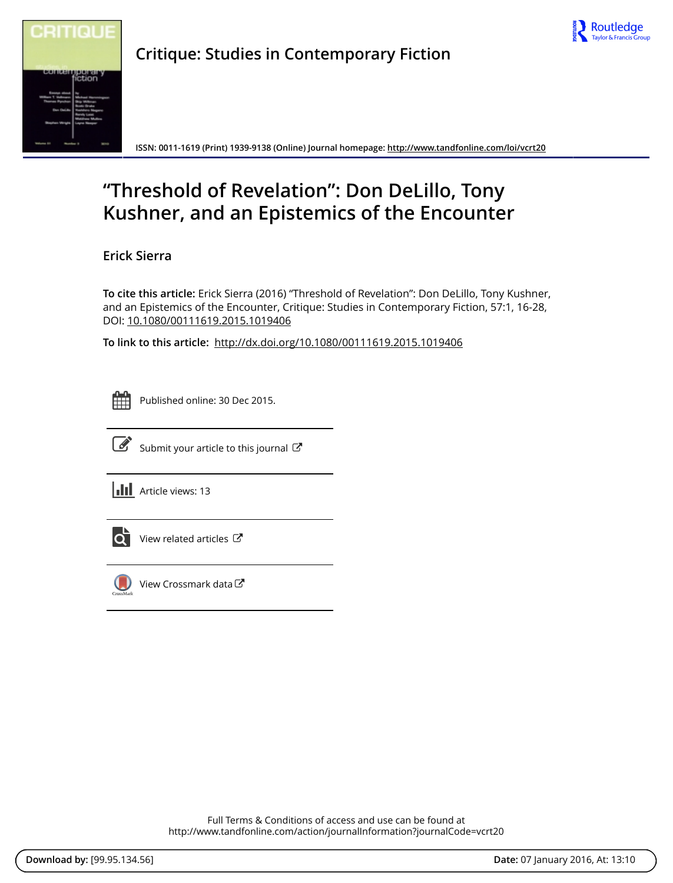



Critique: Studies in Contemporary Fiction

ISSN: 0011-1619 (Print) 1939-9138 (Online) Journal homepage:<http://www.tandfonline.com/loi/vcrt20>

# "Threshold of Revelation": Don DeLillo, Tony Kushner, and an Epistemics of the Encounter

Erick Sierra

To cite this article: Erick Sierra (2016) "Threshold of Revelation": Don DeLillo, Tony Kushner, and an Epistemics of the Encounter, Critique: Studies in Contemporary Fiction, 57:1, 16-28, DOI: [10.1080/00111619.2015.1019406](http://www.tandfonline.com/action/showCitFormats?doi=10.1080/00111619.2015.1019406)

To link to this article: <http://dx.doi.org/10.1080/00111619.2015.1019406>



Published online: 30 Dec 2015.



 $\overline{\mathscr{L}}$  [Submit your article to this journal](http://www.tandfonline.com/action/authorSubmission?journalCode=vcrt20&page=instructions)  $\mathbb{Z}$ 

**III** Article views: 13



 $\overrightarrow{Q}$  [View related articles](http://www.tandfonline.com/doi/mlt/10.1080/00111619.2015.1019406)  $\overrightarrow{C}$ 



[View Crossmark data](http://crossmark.crossref.org/dialog/?doi=10.1080/00111619.2015.1019406&domain=pdf&date_stamp=2015-12-30)<sup>で</sup>

Full Terms & Conditions of access and use can be found at <http://www.tandfonline.com/action/journalInformation?journalCode=vcrt20>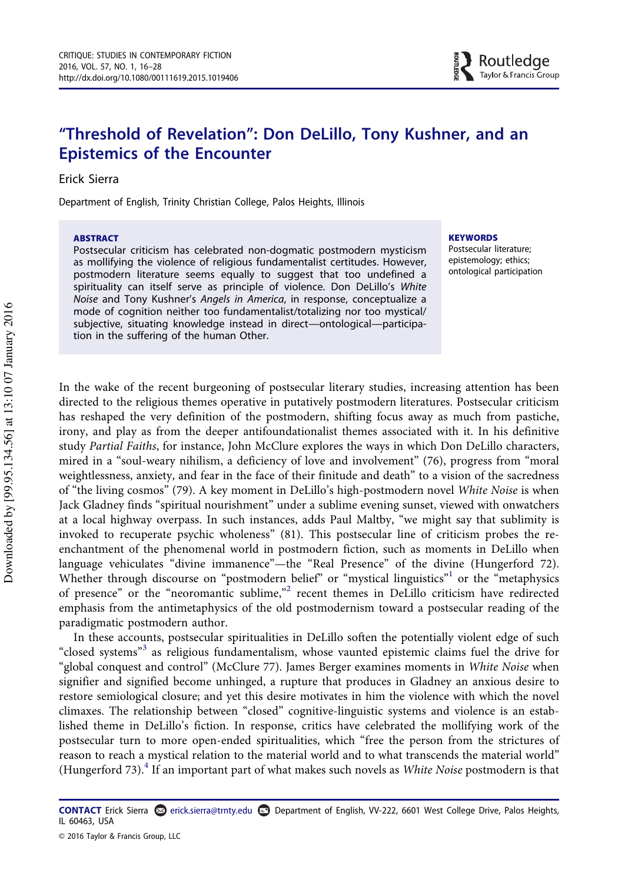# "Threshold of Revelation": Don DeLillo, Tony Kushner, and an Epistemics of the Encounter

Erick Sierra

Department of English, Trinity Christian College, Palos Heights, Illinois

#### ABSTRACT

Postsecular criticism has celebrated non-dogmatic postmodern mysticism as mollifying the violence of religious fundamentalist certitudes. However, postmodern literature seems equally to suggest that too undefined a spirituality can itself serve as principle of violence. Don DeLillo's White Noise and Tony Kushner's Angels in America, in response, conceptualize a mode of cognition neither too fundamentalist/totalizing nor too mystical/ subjective, situating knowledge instead in direct—ontological—participation in the suffering of the human Other.

#### **KEYWORDS**

Postsecular literature; epistemology; ethics; ontological participation

In the wake of the recent burgeoning of postsecular literary studies, increasing attention has been directed to the religious themes operative in putatively postmodern literatures. Postsecular criticism has reshaped the very definition of the postmodern, shifting focus away as much from pastiche, irony, and play as from the deeper antifoundationalist themes associated with it. In his definitive study Partial Faiths, for instance, John McClure explores the ways in which Don DeLillo characters, mired in a "soul-weary nihilism, a deficiency of love and involvement" (76), progress from "moral weightlessness, anxiety, and fear in the face of their finitude and death" to a vision of the sacredness of "the living cosmos" (79). A key moment in DeLillo's high-postmodern novel White Noise is when Jack Gladney finds "spiritual nourishment" under a sublime evening sunset, viewed with onwatchers at a local highway overpass. In such instances, adds Paul Maltby, "we might say that sublimity is invoked to recuperate psychic wholeness" (81). This postsecular line of criticism probes the reenchantment of the phenomenal world in postmodern fiction, such as moments in DeLillo when language vehiculates "divine immanence"—the "Real Presence" of the divine (Hungerford 72). Whether through discourse on "postmodern belief" or "mystical linguistics"<sup>[1](#page-10-0)</sup> or the "metaphysics of presence" or the "neoromantic sublime,"<sup>[2](#page-10-1)</sup> recent themes in DeLillo criticism have redirected emphasis from the antimetaphysics of the old postmodernism toward a postsecular reading of the paradigmatic postmodern author.

In these accounts, postsecular spiritualities in DeLillo soften the potentially violent edge of such "closed systems" [3](#page-10-2) as religious fundamentalism, whose vaunted epistemic claims fuel the drive for "global conquest and control" (McClure 77). James Berger examines moments in White Noise when signifier and signified become unhinged, a rupture that produces in Gladney an anxious desire to restore semiological closure; and yet this desire motivates in him the violence with which the novel climaxes. The relationship between "closed" cognitive-linguistic systems and violence is an established theme in DeLillo's fiction. In response, critics have celebrated the mollifying work of the postsecular turn to more open-ended spiritualities, which "free the person from the strictures of reason to reach a mystical relation to the material world and to what transcends the material world" (Hungerford 73).<sup>[4](#page-10-3)</sup> If an important part of what makes such novels as White Noise postmodern is that

CONTACT Erick Sierra **Contact Act and Act and Contact Contact** Operatment of English, VV-222, 6601 West College Drive, Palos Heights, IL 60463, USA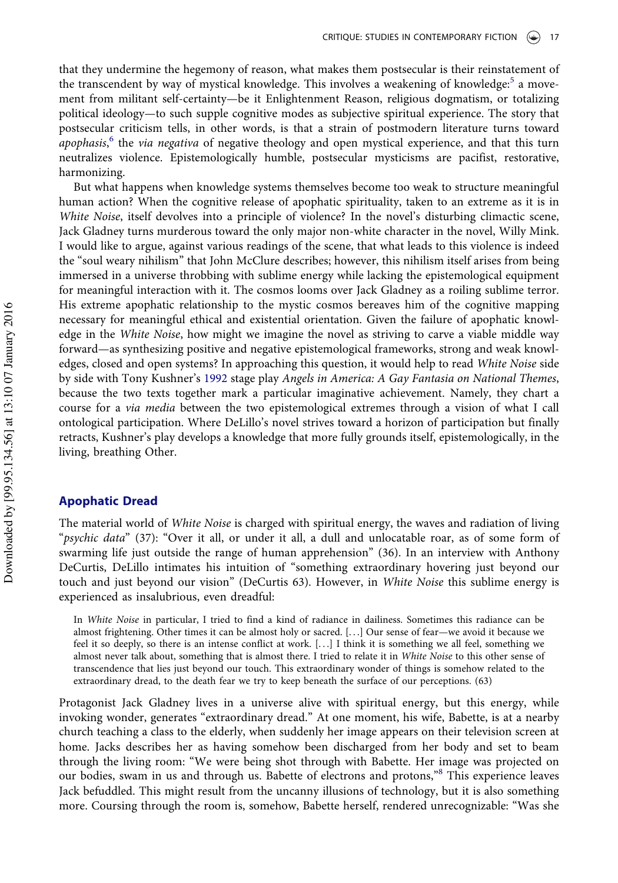that they undermine the hegemony of reason, what makes them postsecular is their reinstatement of the transcendent by way of mystical knowledge. This involves a weakening of knowledge: $5$  a movement from militant self-certainty—be it Enlightenment Reason, religious dogmatism, or totalizing political ideology—to such supple cognitive modes as subjective spiritual experience. The story that postsecular criticism tells, in other words, is that a strain of postmodern literature turns toward apophasis,<sup>[6](#page-10-5)</sup> the *via negativa* of negative theology and open mystical experience, and that this turn neutralizes violence. Epistemologically humble, postsecular mysticisms are pacifist, restorative, harmonizing.

But what happens when knowledge systems themselves become too weak to structure meaningful human action? When the cognitive release of apophatic spirituality, taken to an extreme as it is in White Noise, itself devolves into a principle of violence? In the novel's disturbing climactic scene, Jack Gladney turns murderous toward the only major non-white character in the novel, Willy Mink. I would like to argue, against various readings of the scene, that what leads to this violence is indeed the "soul weary nihilism" that John McClure describes; however, this nihilism itself arises from being immersed in a universe throbbing with sublime energy while lacking the epistemological equipment for meaningful interaction with it. The cosmos looms over Jack Gladney as a roiling sublime terror. His extreme apophatic relationship to the mystic cosmos bereaves him of the cognitive mapping necessary for meaningful ethical and existential orientation. Given the failure of apophatic knowledge in the White Noise, how might we imagine the novel as striving to carve a viable middle way forward—as synthesizing positive and negative epistemological frameworks, strong and weak knowledges, closed and open systems? In approaching this question, it would help to read White Noise side by side with Tony Kushner's [1992](#page-12-0) stage play Angels in America: A Gay Fantasia on National Themes, because the two texts together mark a particular imaginative achievement. Namely, they chart a course for a via media between the two epistemological extremes through a vision of what I call ontological participation. Where DeLillo's novel strives toward a horizon of participation but finally retracts, Kushner's play develops a knowledge that more fully grounds itself, epistemologically, in the living, breathing Other.

# Apophatic Dread

The material world of White Noise is charged with spiritual energy, the waves and radiation of living "psychic data" (37): "Over it all, or under it all, a dull and unlocatable roar, as of some form of swarming life just outside the range of human apprehension" (36). In an interview with Anthony DeCurtis, DeLillo intimates his intuition of "something extraordinary hovering just beyond our touch and just beyond our vision" (DeCurtis 63). However, in White Noise this sublime energy is experienced as insalubrious, even dreadful:

In White Noise in particular, I tried to find a kind of radiance in dailiness. Sometimes this radiance can be almost frightening. Other times it can be almost holy or sacred. [. . .] Our sense of fear—we avoid it because we feel it so deeply, so there is an intense conflict at work. [. . .] I think it is something we all feel, something we almost never talk about, something that is almost there. I tried to relate it in White Noise to this other sense of transcendence that lies just beyond our touch. This extraordinary wonder of things is somehow related to the extraordinary dread, to the death fear we try to keep beneath the surface of our perceptions. (63)

Protagonist Jack Gladney lives in a universe alive with spiritual energy, but this energy, while invoking wonder, generates "extraordinary dread." At one moment, his wife, Babette, is at a nearby church teaching a class to the elderly, when suddenly her image appears on their television screen at home. Jacks describes her as having somehow been discharged from her body and set to beam through the living room: "We were being shot through with Babette. Her image was projected on our bodies, swam in us and through us. Babette of electrons and protons,"<sup>[8](#page-11-0)</sup> This experience leaves Jack befuddled. This might result from the uncanny illusions of technology, but it is also something more. Coursing through the room is, somehow, Babette herself, rendered unrecognizable: "Was she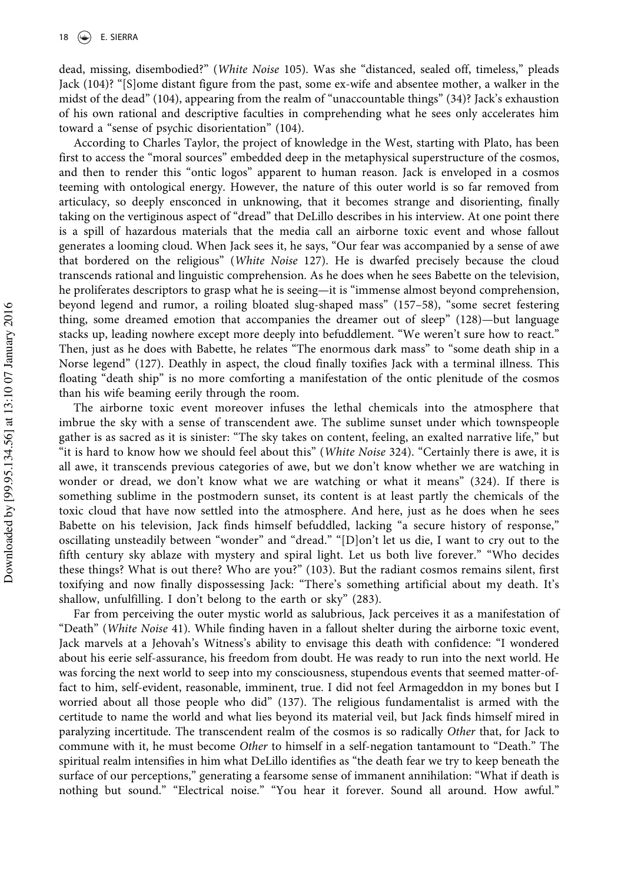dead, missing, disembodied?" (White Noise 105). Was she "distanced, sealed off, timeless," pleads Jack (104)? "[S]ome distant figure from the past, some ex-wife and absentee mother, a walker in the midst of the dead" (104), appearing from the realm of "unaccountable things" (34)? Jack's exhaustion of his own rational and descriptive faculties in comprehending what he sees only accelerates him toward a "sense of psychic disorientation" (104).

According to Charles Taylor, the project of knowledge in the West, starting with Plato, has been first to access the "moral sources" embedded deep in the metaphysical superstructure of the cosmos, and then to render this "ontic logos" apparent to human reason. Jack is enveloped in a cosmos teeming with ontological energy. However, the nature of this outer world is so far removed from articulacy, so deeply ensconced in unknowing, that it becomes strange and disorienting, finally taking on the vertiginous aspect of "dread" that DeLillo describes in his interview. At one point there is a spill of hazardous materials that the media call an airborne toxic event and whose fallout generates a looming cloud. When Jack sees it, he says, "Our fear was accompanied by a sense of awe that bordered on the religious" (White Noise 127). He is dwarfed precisely because the cloud transcends rational and linguistic comprehension. As he does when he sees Babette on the television, he proliferates descriptors to grasp what he is seeing—it is "immense almost beyond comprehension, beyond legend and rumor, a roiling bloated slug-shaped mass" (157–58), "some secret festering thing, some dreamed emotion that accompanies the dreamer out of sleep" (128)—but language stacks up, leading nowhere except more deeply into befuddlement. "We weren't sure how to react." Then, just as he does with Babette, he relates "The enormous dark mass" to "some death ship in a Norse legend" (127). Deathly in aspect, the cloud finally toxifies Jack with a terminal illness. This floating "death ship" is no more comforting a manifestation of the ontic plenitude of the cosmos than his wife beaming eerily through the room.

The airborne toxic event moreover infuses the lethal chemicals into the atmosphere that imbrue the sky with a sense of transcendent awe. The sublime sunset under which townspeople gather is as sacred as it is sinister: "The sky takes on content, feeling, an exalted narrative life," but "it is hard to know how we should feel about this" (White Noise 324). "Certainly there is awe, it is all awe, it transcends previous categories of awe, but we don't know whether we are watching in wonder or dread, we don't know what we are watching or what it means" (324). If there is something sublime in the postmodern sunset, its content is at least partly the chemicals of the toxic cloud that have now settled into the atmosphere. And here, just as he does when he sees Babette on his television, Jack finds himself befuddled, lacking "a secure history of response," oscillating unsteadily between "wonder" and "dread." "[D]on't let us die, I want to cry out to the fifth century sky ablaze with mystery and spiral light. Let us both live forever." "Who decides these things? What is out there? Who are you?" (103). But the radiant cosmos remains silent, first toxifying and now finally dispossessing Jack: "There's something artificial about my death. It's shallow, unfulfilling. I don't belong to the earth or sky" (283).

Far from perceiving the outer mystic world as salubrious, Jack perceives it as a manifestation of "Death" (White Noise 41). While finding haven in a fallout shelter during the airborne toxic event, Jack marvels at a Jehovah's Witness's ability to envisage this death with confidence: "I wondered about his eerie self-assurance, his freedom from doubt. He was ready to run into the next world. He was forcing the next world to seep into my consciousness, stupendous events that seemed matter-offact to him, self-evident, reasonable, imminent, true. I did not feel Armageddon in my bones but I worried about all those people who did" (137). The religious fundamentalist is armed with the certitude to name the world and what lies beyond its material veil, but Jack finds himself mired in paralyzing incertitude. The transcendent realm of the cosmos is so radically Other that, for Jack to commune with it, he must become Other to himself in a self-negation tantamount to "Death." The spiritual realm intensifies in him what DeLillo identifies as "the death fear we try to keep beneath the surface of our perceptions," generating a fearsome sense of immanent annihilation: "What if death is nothing but sound." "Electrical noise." "You hear it forever. Sound all around. How awful."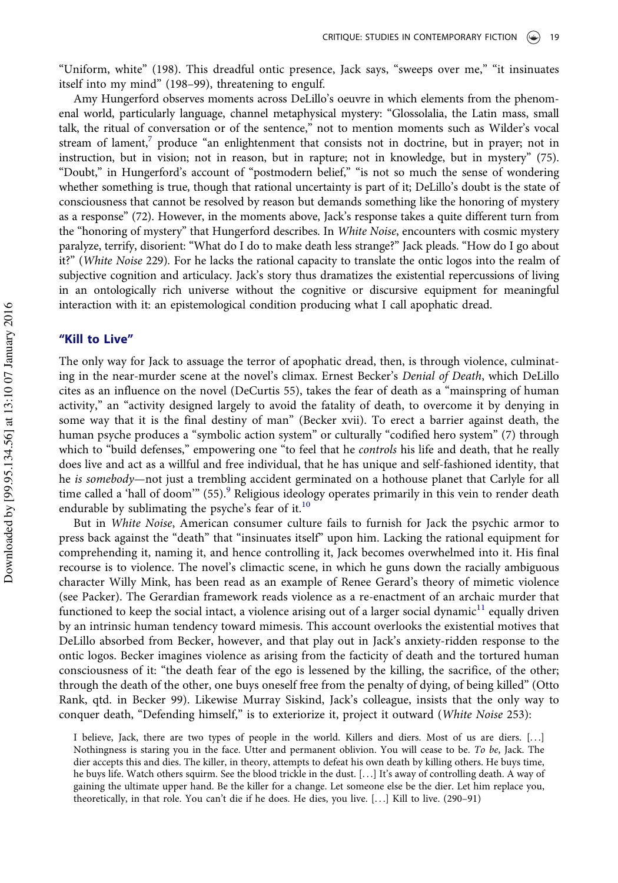"Uniform, white" (198). This dreadful ontic presence, Jack says, "sweeps over me," "it insinuates itself into my mind" (198–99), threatening to engulf.

Amy Hungerford observes moments across DeLillo's oeuvre in which elements from the phenomenal world, particularly language, channel metaphysical mystery: "Glossolalia, the Latin mass, small talk, the ritual of conversation or of the sentence," not to mention moments such as Wilder's vocal stream of lament, $7$  produce "an enlightenment that consists not in doctrine, but in prayer; not in instruction, but in vision; not in reason, but in rapture; not in knowledge, but in mystery" (75). "Doubt," in Hungerford's account of "postmodern belief," "is not so much the sense of wondering whether something is true, though that rational uncertainty is part of it; DeLillo's doubt is the state of consciousness that cannot be resolved by reason but demands something like the honoring of mystery as a response" (72). However, in the moments above, Jack's response takes a quite different turn from the "honoring of mystery" that Hungerford describes. In White Noise, encounters with cosmic mystery paralyze, terrify, disorient: "What do I do to make death less strange?" Jack pleads. "How do I go about it?" (White Noise 229). For he lacks the rational capacity to translate the ontic logos into the realm of subjective cognition and articulacy. Jack's story thus dramatizes the existential repercussions of living in an ontologically rich universe without the cognitive or discursive equipment for meaningful interaction with it: an epistemological condition producing what I call apophatic dread.

### "Kill to Live"

The only way for Jack to assuage the terror of apophatic dread, then, is through violence, culminating in the near-murder scene at the novel's climax. Ernest Becker's Denial of Death, which DeLillo cites as an influence on the novel (DeCurtis 55), takes the fear of death as a "mainspring of human activity," an "activity designed largely to avoid the fatality of death, to overcome it by denying in some way that it is the final destiny of man" (Becker xvii). To erect a barrier against death, the human psyche produces a "symbolic action system" or culturally "codified hero system" (7) through which to "build defenses," empowering one "to feel that he *controls* his life and death, that he really does live and act as a willful and free individual, that he has unique and self-fashioned identity, that he is somebody—not just a trembling accident germinated on a hothouse planet that Carlyle for all time called a 'hall of doom'" (55).<sup>[9](#page-11-1)</sup> Religious ideology operates primarily in this vein to render death endurable by sublimating the psyche's fear of it. $^{10}$  $^{10}$  $^{10}$ 

But in White Noise, American consumer culture fails to furnish for Jack the psychic armor to press back against the "death" that "insinuates itself" upon him. Lacking the rational equipment for comprehending it, naming it, and hence controlling it, Jack becomes overwhelmed into it. His final recourse is to violence. The novel's climactic scene, in which he guns down the racially ambiguous character Willy Mink, has been read as an example of Renee Gerard's theory of mimetic violence (see Packer). The Gerardian framework reads violence as a re-enactment of an archaic murder that functioned to keep the social intact, a violence arising out of a larger social dynamic $11$  equally driven by an intrinsic human tendency toward mimesis. This account overlooks the existential motives that DeLillo absorbed from Becker, however, and that play out in Jack's anxiety-ridden response to the ontic logos. Becker imagines violence as arising from the facticity of death and the tortured human consciousness of it: "the death fear of the ego is lessened by the killing, the sacrifice, of the other; through the death of the other, one buys oneself free from the penalty of dying, of being killed" (Otto Rank, qtd. in Becker 99). Likewise Murray Siskind, Jack's colleague, insists that the only way to conquer death, "Defending himself," is to exteriorize it, project it outward (White Noise 253):

I believe, Jack, there are two types of people in the world. Killers and diers. Most of us are diers. [. . .] Nothingness is staring you in the face. Utter and permanent oblivion. You will cease to be. To be, Jack. The dier accepts this and dies. The killer, in theory, attempts to defeat his own death by killing others. He buys time, he buys life. Watch others squirm. See the blood trickle in the dust. [. . .] It's away of controlling death. A way of gaining the ultimate upper hand. Be the killer for a change. Let someone else be the dier. Let him replace you, theoretically, in that role. You can't die if he does. He dies, you live. [. . .] Kill to live. (290–91)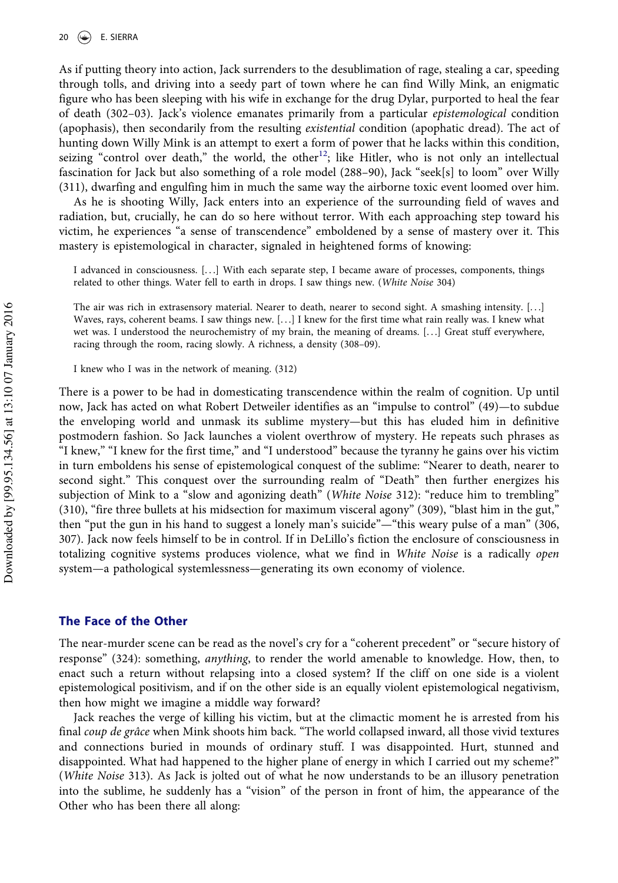As if putting theory into action, Jack surrenders to the desublimation of rage, stealing a car, speeding through tolls, and driving into a seedy part of town where he can find Willy Mink, an enigmatic figure who has been sleeping with his wife in exchange for the drug Dylar, purported to heal the fear of death (302–03). Jack's violence emanates primarily from a particular epistemological condition (apophasis), then secondarily from the resulting existential condition (apophatic dread). The act of hunting down Willy Mink is an attempt to exert a form of power that he lacks within this condition, seizing "control over death," the world, the other<sup>[12](#page-11-4)</sup>; like Hitler, who is not only an intellectual fascination for Jack but also something of a role model (288–90), Jack "seek[s] to loom" over Willy (311), dwarfing and engulfing him in much the same way the airborne toxic event loomed over him.

As he is shooting Willy, Jack enters into an experience of the surrounding field of waves and radiation, but, crucially, he can do so here without terror. With each approaching step toward his victim, he experiences "a sense of transcendence" emboldened by a sense of mastery over it. This mastery is epistemological in character, signaled in heightened forms of knowing:

I advanced in consciousness. [. . .] With each separate step, I became aware of processes, components, things related to other things. Water fell to earth in drops. I saw things new. (White Noise 304)

The air was rich in extrasensory material. Nearer to death, nearer to second sight. A smashing intensity. [. . .] Waves, rays, coherent beams. I saw things new. [...] I knew for the first time what rain really was. I knew what wet was. I understood the neurochemistry of my brain, the meaning of dreams. [. . .] Great stuff everywhere, racing through the room, racing slowly. A richness, a density (308–09).

I knew who I was in the network of meaning. (312)

There is a power to be had in domesticating transcendence within the realm of cognition. Up until now, Jack has acted on what Robert Detweiler identifies as an "impulse to control" (49)—to subdue the enveloping world and unmask its sublime mystery—but this has eluded him in definitive postmodern fashion. So Jack launches a violent overthrow of mystery. He repeats such phrases as "I knew," "I knew for the first time," and "I understood" because the tyranny he gains over his victim in turn emboldens his sense of epistemological conquest of the sublime: "Nearer to death, nearer to second sight." This conquest over the surrounding realm of "Death" then further energizes his subjection of Mink to a "slow and agonizing death" (White Noise 312): "reduce him to trembling" (310), "fire three bullets at his midsection for maximum visceral agony" (309), "blast him in the gut," then "put the gun in his hand to suggest a lonely man's suicide"—"this weary pulse of a man" (306, 307). Jack now feels himself to be in control. If in DeLillo's fiction the enclosure of consciousness in totalizing cognitive systems produces violence, what we find in White Noise is a radically open system—a pathological systemlessness—generating its own economy of violence.

### The Face of the Other

The near-murder scene can be read as the novel's cry for a "coherent precedent" or "secure history of response" (324): something, anything, to render the world amenable to knowledge. How, then, to enact such a return without relapsing into a closed system? If the cliff on one side is a violent epistemological positivism, and if on the other side is an equally violent epistemological negativism, then how might we imagine a middle way forward?

Jack reaches the verge of killing his victim, but at the climactic moment he is arrested from his final coup de grâce when Mink shoots him back. "The world collapsed inward, all those vivid textures and connections buried in mounds of ordinary stuff. I was disappointed. Hurt, stunned and disappointed. What had happened to the higher plane of energy in which I carried out my scheme?" (White Noise 313). As Jack is jolted out of what he now understands to be an illusory penetration into the sublime, he suddenly has a "vision" of the person in front of him, the appearance of the Other who has been there all along: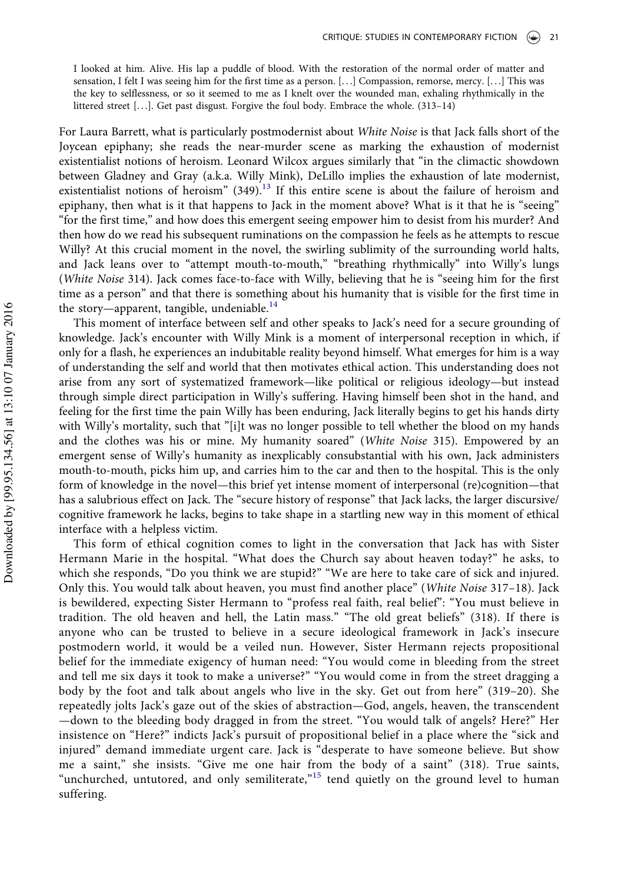I looked at him. Alive. His lap a puddle of blood. With the restoration of the normal order of matter and sensation, I felt I was seeing him for the first time as a person. [. . .] Compassion, remorse, mercy. [. . .] This was the key to selflessness, or so it seemed to me as I knelt over the wounded man, exhaling rhythmically in the littered street [. . .]. Get past disgust. Forgive the foul body. Embrace the whole. (313–14)

For Laura Barrett, what is particularly postmodernist about White Noise is that Jack falls short of the Joycean epiphany; she reads the near-murder scene as marking the exhaustion of modernist existentialist notions of heroism. Leonard Wilcox argues similarly that "in the climactic showdown between Gladney and Gray (a.k.a. Willy Mink), DeLillo implies the exhaustion of late modernist, existentialist notions of heroism"  $(349)$ .<sup>[13](#page-11-5)</sup> If this entire scene is about the failure of heroism and epiphany, then what is it that happens to Jack in the moment above? What is it that he is "seeing" "for the first time," and how does this emergent seeing empower him to desist from his murder? And then how do we read his subsequent ruminations on the compassion he feels as he attempts to rescue Willy? At this crucial moment in the novel, the swirling sublimity of the surrounding world halts, and Jack leans over to "attempt mouth-to-mouth," "breathing rhythmically" into Willy's lungs (White Noise 314). Jack comes face-to-face with Willy, believing that he is "seeing him for the first time as a person" and that there is something about his humanity that is visible for the first time in the story-apparent, tangible, undeniable.<sup>[14](#page-11-6)</sup>

This moment of interface between self and other speaks to Jack's need for a secure grounding of knowledge. Jack's encounter with Willy Mink is a moment of interpersonal reception in which, if only for a flash, he experiences an indubitable reality beyond himself. What emerges for him is a way of understanding the self and world that then motivates ethical action. This understanding does not arise from any sort of systematized framework—like political or religious ideology—but instead through simple direct participation in Willy's suffering. Having himself been shot in the hand, and feeling for the first time the pain Willy has been enduring, Jack literally begins to get his hands dirty with Willy's mortality, such that "[i]t was no longer possible to tell whether the blood on my hands and the clothes was his or mine. My humanity soared" (White Noise 315). Empowered by an emergent sense of Willy's humanity as inexplicably consubstantial with his own, Jack administers mouth-to-mouth, picks him up, and carries him to the car and then to the hospital. This is the only form of knowledge in the novel—this brief yet intense moment of interpersonal (re)cognition—that has a salubrious effect on Jack. The "secure history of response" that Jack lacks, the larger discursive/ cognitive framework he lacks, begins to take shape in a startling new way in this moment of ethical interface with a helpless victim.

This form of ethical cognition comes to light in the conversation that Jack has with Sister Hermann Marie in the hospital. "What does the Church say about heaven today?" he asks, to which she responds, "Do you think we are stupid?" "We are here to take care of sick and injured. Only this. You would talk about heaven, you must find another place" (White Noise 317–18). Jack is bewildered, expecting Sister Hermann to "profess real faith, real belief": "You must believe in tradition. The old heaven and hell, the Latin mass." "The old great beliefs" (318). If there is anyone who can be trusted to believe in a secure ideological framework in Jack's insecure postmodern world, it would be a veiled nun. However, Sister Hermann rejects propositional belief for the immediate exigency of human need: "You would come in bleeding from the street and tell me six days it took to make a universe?" "You would come in from the street dragging a body by the foot and talk about angels who live in the sky. Get out from here" (319–20). She repeatedly jolts Jack's gaze out of the skies of abstraction—God, angels, heaven, the transcendent —down to the bleeding body dragged in from the street. "You would talk of angels? Here?" Her insistence on "Here?" indicts Jack's pursuit of propositional belief in a place where the "sick and injured" demand immediate urgent care. Jack is "desperate to have someone believe. But show me a saint," she insists. "Give me one hair from the body of a saint" (318). True saints, "unchurched, untutored, and only semiliterate,"<sup>[15](#page-11-7)</sup> tend quietly on the ground level to human suffering.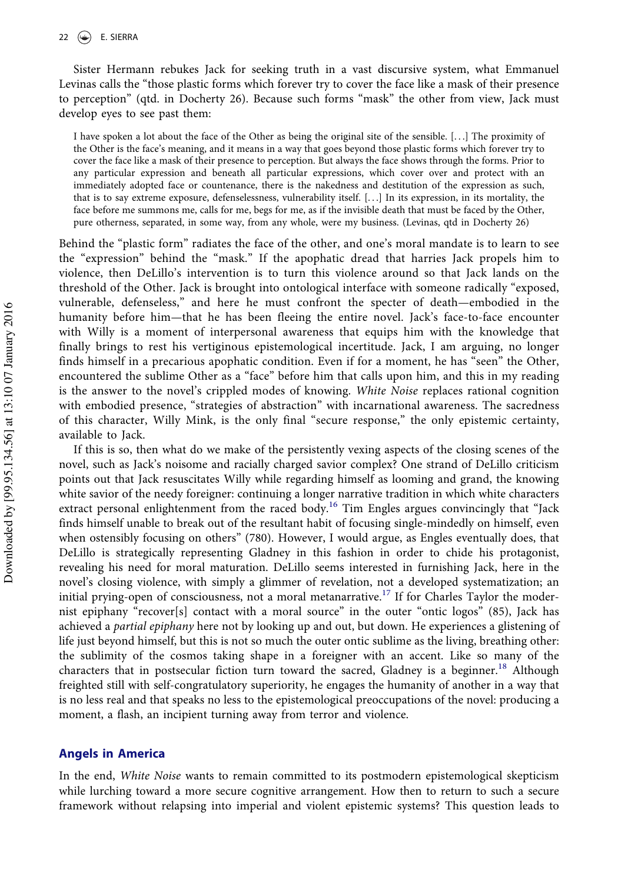Sister Hermann rebukes Jack for seeking truth in a vast discursive system, what Emmanuel Levinas calls the "those plastic forms which forever try to cover the face like a mask of their presence to perception" (qtd. in Docherty 26). Because such forms "mask" the other from view, Jack must develop eyes to see past them:

I have spoken a lot about the face of the Other as being the original site of the sensible. [. . .] The proximity of the Other is the face's meaning, and it means in a way that goes beyond those plastic forms which forever try to cover the face like a mask of their presence to perception. But always the face shows through the forms. Prior to any particular expression and beneath all particular expressions, which cover over and protect with an immediately adopted face or countenance, there is the nakedness and destitution of the expression as such, that is to say extreme exposure, defenselessness, vulnerability itself. [. . .] In its expression, in its mortality, the face before me summons me, calls for me, begs for me, as if the invisible death that must be faced by the Other, pure otherness, separated, in some way, from any whole, were my business. (Levinas, qtd in Docherty 26)

Behind the "plastic form" radiates the face of the other, and one's moral mandate is to learn to see the "expression" behind the "mask." If the apophatic dread that harries Jack propels him to violence, then DeLillo's intervention is to turn this violence around so that Jack lands on the threshold of the Other. Jack is brought into ontological interface with someone radically "exposed, vulnerable, defenseless," and here he must confront the specter of death—embodied in the humanity before him—that he has been fleeing the entire novel. Jack's face-to-face encounter with Willy is a moment of interpersonal awareness that equips him with the knowledge that finally brings to rest his vertiginous epistemological incertitude. Jack, I am arguing, no longer finds himself in a precarious apophatic condition. Even if for a moment, he has "seen" the Other, encountered the sublime Other as a "face" before him that calls upon him, and this in my reading is the answer to the novel's crippled modes of knowing. White Noise replaces rational cognition with embodied presence, "strategies of abstraction" with incarnational awareness. The sacredness of this character, Willy Mink, is the only final "secure response," the only epistemic certainty, available to Jack.

If this is so, then what do we make of the persistently vexing aspects of the closing scenes of the novel, such as Jack's noisome and racially charged savior complex? One strand of DeLillo criticism points out that Jack resuscitates Willy while regarding himself as looming and grand, the knowing white savior of the needy foreigner: continuing a longer narrative tradition in which white characters extract personal enlightenment from the raced body.<sup>[16](#page-11-8)</sup> Tim Engles argues convincingly that "Jack finds himself unable to break out of the resultant habit of focusing single-mindedly on himself, even when ostensibly focusing on others" (780). However, I would argue, as Engles eventually does, that DeLillo is strategically representing Gladney in this fashion in order to chide his protagonist, revealing his need for moral maturation. DeLillo seems interested in furnishing Jack, here in the novel's closing violence, with simply a glimmer of revelation, not a developed systematization; an initial prying-open of consciousness, not a moral metanarrative.<sup>[17](#page-11-9)</sup> If for Charles Taylor the modernist epiphany "recover[s] contact with a moral source" in the outer "ontic logos" (85), Jack has achieved a partial epiphany here not by looking up and out, but down. He experiences a glistening of life just beyond himself, but this is not so much the outer ontic sublime as the living, breathing other: the sublimity of the cosmos taking shape in a foreigner with an accent. Like so many of the characters that in postsecular fiction turn toward the sacred, Gladney is a beginner.<sup>18</sup> Although freighted still with self-congratulatory superiority, he engages the humanity of another in a way that is no less real and that speaks no less to the epistemological preoccupations of the novel: producing a moment, a flash, an incipient turning away from terror and violence.

# Angels in America

In the end, White Noise wants to remain committed to its postmodern epistemological skepticism while lurching toward a more secure cognitive arrangement. How then to return to such a secure framework without relapsing into imperial and violent epistemic systems? This question leads to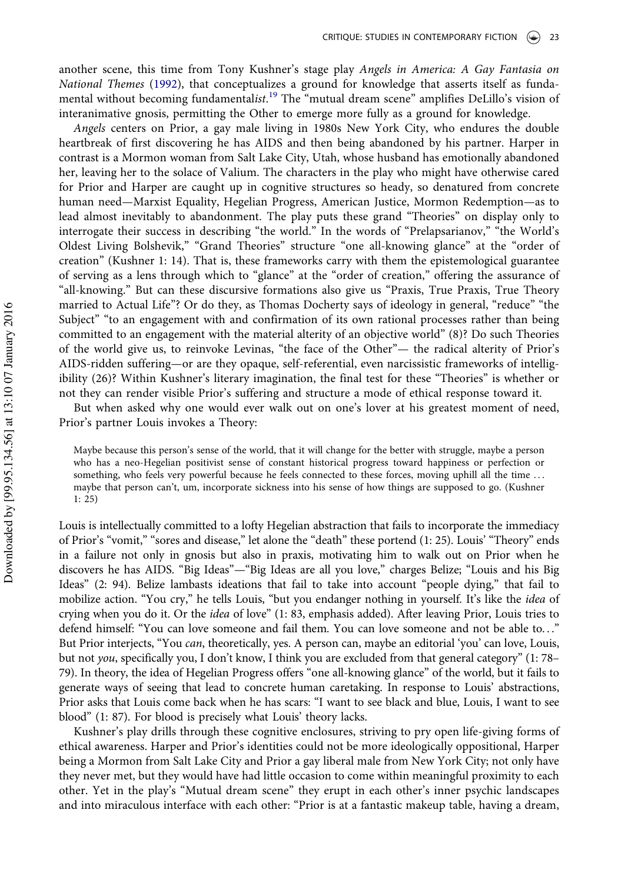another scene, this time from Tony Kushner's stage play Angels in America: A Gay Fantasia on National Themes [\(1992\)](#page-12-0), that conceptualizes a ground for knowledge that asserts itself as funda-mental without becoming fundamentalist.<sup>[19](#page-12-1)</sup> The "mutual dream scene" amplifies DeLillo's vision of interanimative gnosis, permitting the Other to emerge more fully as a ground for knowledge.

Angels centers on Prior, a gay male living in 1980s New York City, who endures the double heartbreak of first discovering he has AIDS and then being abandoned by his partner. Harper in contrast is a Mormon woman from Salt Lake City, Utah, whose husband has emotionally abandoned her, leaving her to the solace of Valium. The characters in the play who might have otherwise cared for Prior and Harper are caught up in cognitive structures so heady, so denatured from concrete human need—Marxist Equality, Hegelian Progress, American Justice, Mormon Redemption—as to lead almost inevitably to abandonment. The play puts these grand "Theories" on display only to interrogate their success in describing "the world." In the words of "Prelapsarianov," "the World's Oldest Living Bolshevik," "Grand Theories" structure "one all-knowing glance" at the "order of creation" (Kushner 1: 14). That is, these frameworks carry with them the epistemological guarantee of serving as a lens through which to "glance" at the "order of creation," offering the assurance of "all-knowing." But can these discursive formations also give us "Praxis, True Praxis, True Theory married to Actual Life"? Or do they, as Thomas Docherty says of ideology in general, "reduce" "the Subject" "to an engagement with and confirmation of its own rational processes rather than being committed to an engagement with the material alterity of an objective world" (8)? Do such Theories of the world give us, to reinvoke Levinas, "the face of the Other"— the radical alterity of Prior's AIDS-ridden suffering—or are they opaque, self-referential, even narcissistic frameworks of intelligibility (26)? Within Kushner's literary imagination, the final test for these "Theories" is whether or not they can render visible Prior's suffering and structure a mode of ethical response toward it.

But when asked why one would ever walk out on one's lover at his greatest moment of need, Prior's partner Louis invokes a Theory:

Maybe because this person's sense of the world, that it will change for the better with struggle, maybe a person who has a neo-Hegelian positivist sense of constant historical progress toward happiness or perfection or something, who feels very powerful because he feels connected to these forces, moving uphill all the time . . . maybe that person can't, um, incorporate sickness into his sense of how things are supposed to go. (Kushner 1: 25)

Louis is intellectually committed to a lofty Hegelian abstraction that fails to incorporate the immediacy of Prior's "vomit," "sores and disease," let alone the "death" these portend (1: 25). Louis' "Theory" ends in a failure not only in gnosis but also in praxis, motivating him to walk out on Prior when he discovers he has AIDS. "Big Ideas"—"Big Ideas are all you love," charges Belize; "Louis and his Big Ideas" (2: 94). Belize lambasts ideations that fail to take into account "people dying," that fail to mobilize action. "You cry," he tells Louis, "but you endanger nothing in yourself. It's like the idea of crying when you do it. Or the *idea* of love" (1: 83, emphasis added). After leaving Prior, Louis tries to defend himself: "You can love someone and fail them. You can love someone and not be able to. . ." But Prior interjects, "You *can*, theoretically, yes. A person can, maybe an editorial 'you' can love, Louis, but not you, specifically you, I don't know, I think you are excluded from that general category" (1: 78– 79). In theory, the idea of Hegelian Progress offers "one all-knowing glance" of the world, but it fails to generate ways of seeing that lead to concrete human caretaking. In response to Louis' abstractions, Prior asks that Louis come back when he has scars: "I want to see black and blue, Louis, I want to see blood" (1: 87). For blood is precisely what Louis' theory lacks.

Kushner's play drills through these cognitive enclosures, striving to pry open life-giving forms of ethical awareness. Harper and Prior's identities could not be more ideologically oppositional, Harper being a Mormon from Salt Lake City and Prior a gay liberal male from New York City; not only have they never met, but they would have had little occasion to come within meaningful proximity to each other. Yet in the play's "Mutual dream scene" they erupt in each other's inner psychic landscapes and into miraculous interface with each other: "Prior is at a fantastic makeup table, having a dream,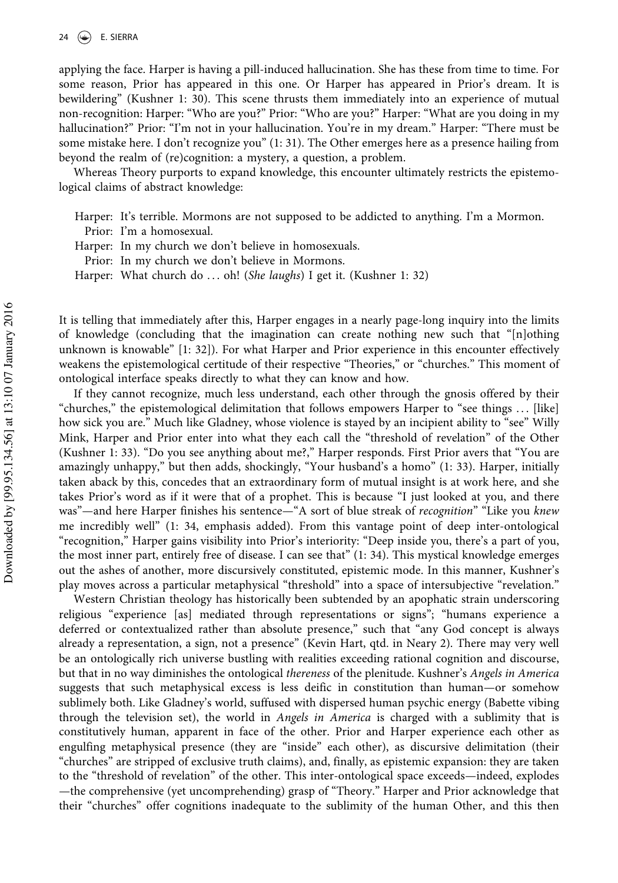applying the face. Harper is having a pill-induced hallucination. She has these from time to time. For some reason, Prior has appeared in this one. Or Harper has appeared in Prior's dream. It is bewildering" (Kushner 1: 30). This scene thrusts them immediately into an experience of mutual non-recognition: Harper: "Who are you?" Prior: "Who are you?" Harper: "What are you doing in my hallucination?" Prior: "I'm not in your hallucination. You're in my dream." Harper: "There must be some mistake here. I don't recognize you" (1: 31). The Other emerges here as a presence hailing from beyond the realm of (re)cognition: a mystery, a question, a problem.

Whereas Theory purports to expand knowledge, this encounter ultimately restricts the epistemological claims of abstract knowledge:

Harper: It's terrible. Mormons are not supposed to be addicted to anything. I'm a Mormon. Prior: I'm a homosexual.

Harper: In my church we don't believe in homosexuals.

Prior: In my church we don't believe in Mormons.

Harper: What church do ... oh! (She laughs) I get it. (Kushner 1: 32)

It is telling that immediately after this, Harper engages in a nearly page-long inquiry into the limits of knowledge (concluding that the imagination can create nothing new such that "[n]othing unknown is knowable" [1: 32]). For what Harper and Prior experience in this encounter effectively weakens the epistemological certitude of their respective "Theories," or "churches." This moment of ontological interface speaks directly to what they can know and how.

If they cannot recognize, much less understand, each other through the gnosis offered by their "churches," the epistemological delimitation that follows empowers Harper to "see things . . . [like] how sick you are." Much like Gladney, whose violence is stayed by an incipient ability to "see" Willy Mink, Harper and Prior enter into what they each call the "threshold of revelation" of the Other (Kushner 1: 33). "Do you see anything about me?," Harper responds. First Prior avers that "You are amazingly unhappy," but then adds, shockingly, "Your husband's a homo" (1: 33). Harper, initially taken aback by this, concedes that an extraordinary form of mutual insight is at work here, and she takes Prior's word as if it were that of a prophet. This is because "I just looked at you, and there was"—and here Harper finishes his sentence—"A sort of blue streak of recognition" "Like you knew me incredibly well" (1: 34, emphasis added). From this vantage point of deep inter-ontological "recognition," Harper gains visibility into Prior's interiority: "Deep inside you, there's a part of you, the most inner part, entirely free of disease. I can see that" (1: 34). This mystical knowledge emerges out the ashes of another, more discursively constituted, epistemic mode. In this manner, Kushner's play moves across a particular metaphysical "threshold" into a space of intersubjective "revelation."

Western Christian theology has historically been subtended by an apophatic strain underscoring religious "experience [as] mediated through representations or signs"; "humans experience a deferred or contextualized rather than absolute presence," such that "any God concept is always already a representation, a sign, not a presence" (Kevin Hart, qtd. in Neary 2). There may very well be an ontologically rich universe bustling with realities exceeding rational cognition and discourse, but that in no way diminishes the ontological thereness of the plenitude. Kushner's Angels in America suggests that such metaphysical excess is less deific in constitution than human—or somehow sublimely both. Like Gladney's world, suffused with dispersed human psychic energy (Babette vibing through the television set), the world in Angels in America is charged with a sublimity that is constitutively human, apparent in face of the other. Prior and Harper experience each other as engulfing metaphysical presence (they are "inside" each other), as discursive delimitation (their "churches" are stripped of exclusive truth claims), and, finally, as epistemic expansion: they are taken to the "threshold of revelation" of the other. This inter-ontological space exceeds—indeed, explodes —the comprehensive (yet uncomprehending) grasp of "Theory." Harper and Prior acknowledge that their "churches" offer cognitions inadequate to the sublimity of the human Other, and this then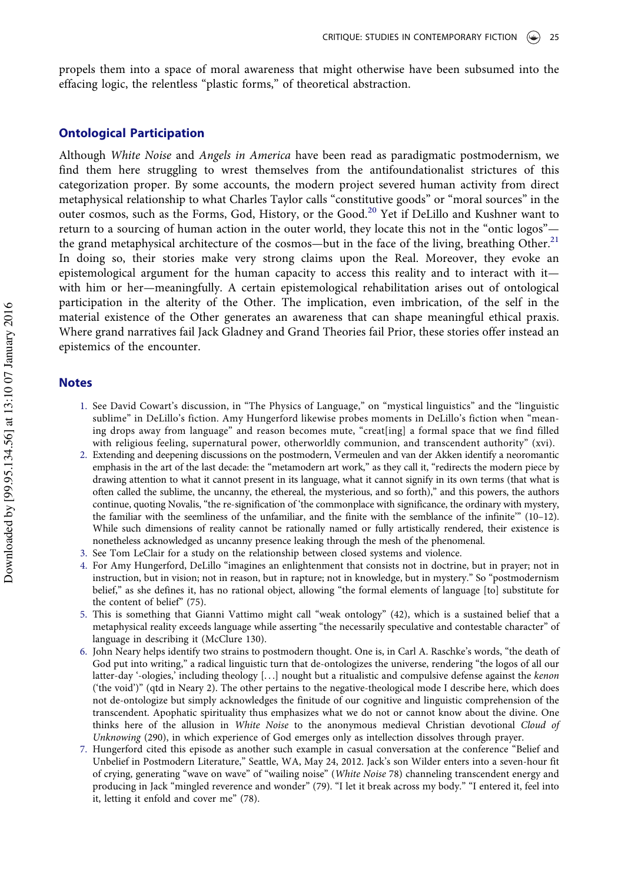propels them into a space of moral awareness that might otherwise have been subsumed into the effacing logic, the relentless "plastic forms," of theoretical abstraction.

### Ontological Participation

Although White Noise and Angels in America have been read as paradigmatic postmodernism, we find them here struggling to wrest themselves from the antifoundationalist strictures of this categorization proper. By some accounts, the modern project severed human activity from direct metaphysical relationship to what Charles Taylor calls "constitutive goods" or "moral sources" in the outer cosmos, such as the Forms, God, History, or the Good.<sup>[20](#page-12-2)</sup> Yet if DeLillo and Kushner want to return to a sourcing of human action in the outer world, they locate this not in the "ontic logos"— the grand metaphysical architecture of the cosmos—but in the face of the living, breathing Other.<sup>[21](#page-12-3)</sup> In doing so, their stories make very strong claims upon the Real. Moreover, they evoke an epistemological argument for the human capacity to access this reality and to interact with it with him or her—meaningfully. A certain epistemological rehabilitation arises out of ontological participation in the alterity of the Other. The implication, even imbrication, of the self in the material existence of the Other generates an awareness that can shape meaningful ethical praxis. Where grand narratives fail Jack Gladney and Grand Theories fail Prior, these stories offer instead an epistemics of the encounter.

#### <span id="page-10-0"></span>**Notes**

- 1. See David Cowart's discussion, in "The Physics of Language," on "mystical linguistics" and the "linguistic sublime" in DeLillo's fiction. Amy Hungerford likewise probes moments in DeLillo's fiction when "meaning drops away from language" and reason becomes mute, "creat[ing] a formal space that we find filled with religious feeling, supernatural power, otherworldly communion, and transcendent authority" (xvi).
- <span id="page-10-1"></span>2. Extending and deepening discussions on the postmodern, Vermeulen and van der Akken identify a neoromantic emphasis in the art of the last decade: the "metamodern art work," as they call it, "redirects the modern piece by drawing attention to what it cannot present in its language, what it cannot signify in its own terms (that what is often called the sublime, the uncanny, the ethereal, the mysterious, and so forth)," and this powers, the authors continue, quoting Novalis, "the re-signification of 'the commonplace with significance, the ordinary with mystery, the familiar with the seemliness of the unfamiliar, and the finite with the semblance of the infinite'" (10–12). While such dimensions of reality cannot be rationally named or fully artistically rendered, their existence is nonetheless acknowledged as uncanny presence leaking through the mesh of the phenomenal.
- <span id="page-10-2"></span>3. See Tom LeClair for a study on the relationship between closed systems and violence.
- <span id="page-10-3"></span>4. For Amy Hungerford, DeLillo "imagines an enlightenment that consists not in doctrine, but in prayer; not in instruction, but in vision; not in reason, but in rapture; not in knowledge, but in mystery." So "postmodernism belief," as she defines it, has no rational object, allowing "the formal elements of language [to] substitute for the content of belief" (75).
- <span id="page-10-4"></span>5. This is something that Gianni Vattimo might call "weak ontology" (42), which is a sustained belief that a metaphysical reality exceeds language while asserting "the necessarily speculative and contestable character" of language in describing it (McClure 130).
- <span id="page-10-5"></span>6. John Neary helps identify two strains to postmodern thought. One is, in Carl A. Raschke's words, "the death of God put into writing," a radical linguistic turn that de-ontologizes the universe, rendering "the logos of all our latter-day '-ologies,' including theology [...] nought but a ritualistic and compulsive defense against the kenon ('the void')" (qtd in Neary 2). The other pertains to the negative-theological mode I describe here, which does not de-ontologize but simply acknowledges the finitude of our cognitive and linguistic comprehension of the transcendent. Apophatic spirituality thus emphasizes what we do not or cannot know about the divine. One thinks here of the allusion in White Noise to the anonymous medieval Christian devotional Cloud of Unknowing (290), in which experience of God emerges only as intellection dissolves through prayer.
- <span id="page-10-6"></span>7. Hungerford cited this episode as another such example in casual conversation at the conference "Belief and Unbelief in Postmodern Literature," Seattle, WA, May 24, 2012. Jack's son Wilder enters into a seven-hour fit of crying, generating "wave on wave" of "wailing noise" (White Noise 78) channeling transcendent energy and producing in Jack "mingled reverence and wonder" (79). "I let it break across my body." "I entered it, feel into it, letting it enfold and cover me" (78).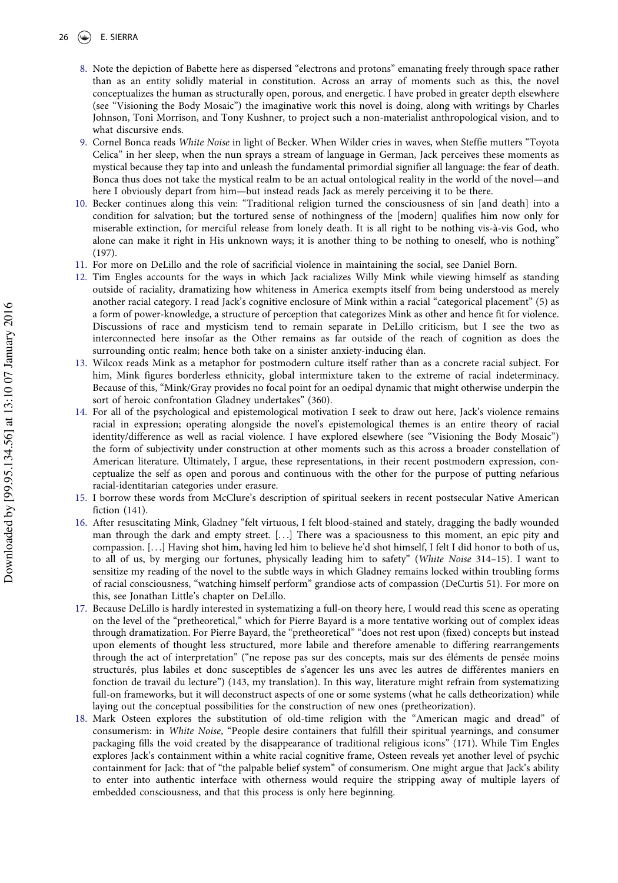- <span id="page-11-0"></span>8. Note the depiction of Babette here as dispersed "electrons and protons" emanating freely through space rather than as an entity solidly material in constitution. Across an array of moments such as this, the novel conceptualizes the human as structurally open, porous, and energetic. I have probed in greater depth elsewhere (see "Visioning the Body Mosaic") the imaginative work this novel is doing, along with writings by Charles Johnson, Toni Morrison, and Tony Kushner, to project such a non-materialist anthropological vision, and to what discursive ends.
- <span id="page-11-1"></span>9. Cornel Bonca reads White Noise in light of Becker. When Wilder cries in waves, when Steffie mutters "Toyota Celica" in her sleep, when the nun sprays a stream of language in German, Jack perceives these moments as mystical because they tap into and unleash the fundamental primordial signifier all language: the fear of death. Bonca thus does not take the mystical realm to be an actual ontological reality in the world of the novel—and here I obviously depart from him—but instead reads Jack as merely perceiving it to be there.
- <span id="page-11-2"></span>10. Becker continues along this vein: "Traditional religion turned the consciousness of sin [and death] into a condition for salvation; but the tortured sense of nothingness of the [modern] qualifies him now only for miserable extinction, for merciful release from lonely death. It is all right to be nothing vis-à-vis God, who alone can make it right in His unknown ways; it is another thing to be nothing to oneself, who is nothing" (197).
- <span id="page-11-3"></span>11. For more on DeLillo and the role of sacrificial violence in maintaining the social, see Daniel Born.
- <span id="page-11-4"></span>12. Tim Engles accounts for the ways in which Jack racializes Willy Mink while viewing himself as standing outside of raciality, dramatizing how whiteness in America exempts itself from being understood as merely another racial category. I read Jack's cognitive enclosure of Mink within a racial "categorical placement" (5) as a form of power-knowledge, a structure of perception that categorizes Mink as other and hence fit for violence. Discussions of race and mysticism tend to remain separate in DeLillo criticism, but I see the two as interconnected here insofar as the Other remains as far outside of the reach of cognition as does the surrounding ontic realm; hence both take on a sinister anxiety-inducing élan.
- <span id="page-11-5"></span>13. Wilcox reads Mink as a metaphor for postmodern culture itself rather than as a concrete racial subject. For him, Mink figures borderless ethnicity, global intermixture taken to the extreme of racial indeterminacy. Because of this, "Mink/Gray provides no focal point for an oedipal dynamic that might otherwise underpin the sort of heroic confrontation Gladney undertakes" (360).
- <span id="page-11-6"></span>14. For all of the psychological and epistemological motivation I seek to draw out here, Jack's violence remains racial in expression; operating alongside the novel's epistemological themes is an entire theory of racial identity/difference as well as racial violence. I have explored elsewhere (see "Visioning the Body Mosaic") the form of subjectivity under construction at other moments such as this across a broader constellation of American literature. Ultimately, I argue, these representations, in their recent postmodern expression, conceptualize the self as open and porous and continuous with the other for the purpose of putting nefarious racial-identitarian categories under erasure.
- <span id="page-11-7"></span>15. I borrow these words from McClure's description of spiritual seekers in recent postsecular Native American fiction (141).
- <span id="page-11-8"></span>16. After resuscitating Mink, Gladney "felt virtuous, I felt blood-stained and stately, dragging the badly wounded man through the dark and empty street. [. . .] There was a spaciousness to this moment, an epic pity and compassion. [. . .] Having shot him, having led him to believe he'd shot himself, I felt I did honor to both of us, to all of us, by merging our fortunes, physically leading him to safety" (White Noise 314–15). I want to sensitize my reading of the novel to the subtle ways in which Gladney remains locked within troubling forms of racial consciousness, "watching himself perform" grandiose acts of compassion (DeCurtis 51). For more on this, see Jonathan Little's chapter on DeLillo.
- <span id="page-11-9"></span>17. Because DeLillo is hardly interested in systematizing a full-on theory here, I would read this scene as operating on the level of the "pretheoretical," which for Pierre Bayard is a more tentative working out of complex ideas through dramatization. For Pierre Bayard, the "pretheoretical" "does not rest upon (fixed) concepts but instead upon elements of thought less structured, more labile and therefore amenable to differing rearrangements through the act of interpretation" ("ne repose pas sur des concepts, mais sur des éléments de pensée moins structurés, plus labiles et donc susceptibles de s'agencer les uns avec les autres de différentes maniers en fonction de travail du lecture") (143, my translation). In this way, literature might refrain from systematizing full-on frameworks, but it will deconstruct aspects of one or some systems (what he calls detheorization) while laying out the conceptual possibilities for the construction of new ones (pretheorization).
- <span id="page-11-10"></span>18. Mark Osteen explores the substitution of old-time religion with the "American magic and dread" of consumerism: in White Noise, "People desire containers that fulfill their spiritual yearnings, and consumer packaging fills the void created by the disappearance of traditional religious icons" (171). While Tim Engles explores Jack's containment within a white racial cognitive frame, Osteen reveals yet another level of psychic containment for Jack: that of "the palpable belief system" of consumerism. One might argue that Jack's ability to enter into authentic interface with otherness would require the stripping away of multiple layers of embedded consciousness, and that this process is only here beginning.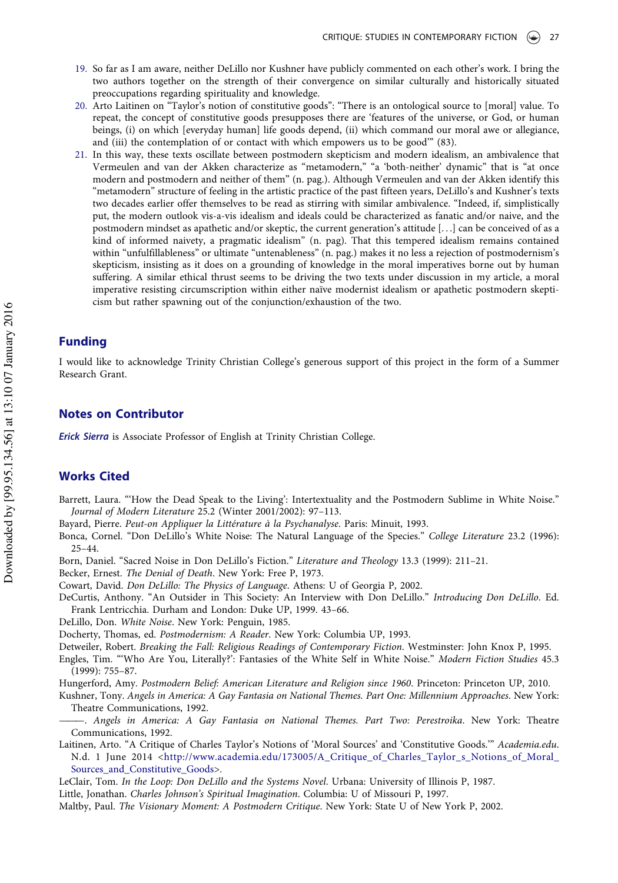- <span id="page-12-1"></span>19. So far as I am aware, neither DeLillo nor Kushner have publicly commented on each other's work. I bring the two authors together on the strength of their convergence on similar culturally and historically situated preoccupations regarding spirituality and knowledge.
- <span id="page-12-2"></span>20. Arto Laitinen on "Taylor's notion of constitutive goods": "There is an ontological source to [moral] value. To repeat, the concept of constitutive goods presupposes there are 'features of the universe, or God, or human beings, (i) on which [everyday human] life goods depend, (ii) which command our moral awe or allegiance, and (iii) the contemplation of or contact with which empowers us to be good'" (83).
- <span id="page-12-3"></span>21. In this way, these texts oscillate between postmodern skepticism and modern idealism, an ambivalence that Vermeulen and van der Akken characterize as "metamodern," "a 'both-neither' dynamic" that is "at once modern and postmodern and neither of them" (n. pag.). Although Vermeulen and van der Akken identify this "metamodern" structure of feeling in the artistic practice of the past fifteen years, DeLillo's and Kushner's texts two decades earlier offer themselves to be read as stirring with similar ambivalence. "Indeed, if, simplistically put, the modern outlook vis-a-vis idealism and ideals could be characterized as fanatic and/or naive, and the postmodern mindset as apathetic and/or skeptic, the current generation's attitude [. . .] can be conceived of as a kind of informed naivety, a pragmatic idealism" (n. pag). That this tempered idealism remains contained within "unfulfillableness" or ultimate "untenableness" (n. pag.) makes it no less a rejection of postmodernism's skepticism, insisting as it does on a grounding of knowledge in the moral imperatives borne out by human suffering. A similar ethical thrust seems to be driving the two texts under discussion in my article, a moral imperative resisting circumscription within either naïve modernist idealism or apathetic postmodern skepticism but rather spawning out of the conjunction/exhaustion of the two.

# Funding

I would like to acknowledge Trinity Christian College's generous support of this project in the form of a Summer Research Grant.

# Notes on Contributor

**Erick Sierra** is Associate Professor of English at Trinity Christian College.

# Works Cited

Barrett, Laura. "'How the Dead Speak to the Living': Intertextuality and the Postmodern Sublime in White Noise." Journal of Modern Literature 25.2 (Winter 2001/2002): 97–113.

Bayard, Pierre. Peut-on Appliquer la Littérature à la Psychanalyse. Paris: Minuit, 1993.

Bonca, Cornel. "Don DeLillo's White Noise: The Natural Language of the Species." College Literature 23.2 (1996): 25–44.

Born, Daniel. "Sacred Noise in Don DeLillo's Fiction." Literature and Theology 13.3 (1999): 211–21.

Becker, Ernest. The Denial of Death. New York: Free P, 1973.

Cowart, David. Don DeLillo: The Physics of Language. Athens: U of Georgia P, 2002.

DeCurtis, Anthony. "An Outsider in This Society: An Interview with Don DeLillo." Introducing Don DeLillo. Ed. Frank Lentricchia. Durham and London: Duke UP, 1999. 43–66.

DeLillo, Don. White Noise. New York: Penguin, 1985.

Docherty, Thomas, ed. Postmodernism: A Reader. New York: Columbia UP, 1993.

Detweiler, Robert. Breaking the Fall: Religious Readings of Contemporary Fiction. Westminster: John Knox P, 1995.

Engles, Tim. "'Who Are You, Literally?': Fantasies of the White Self in White Noise." Modern Fiction Studies 45.3 (1999): 755–87.

<span id="page-12-0"></span>Hungerford, Amy. Postmodern Belief: American Literature and Religion since 1960. Princeton: Princeton UP, 2010.

Kushner, Tony. Angels in America: A Gay Fantasia on National Themes. Part One: Millennium Approaches. New York: Theatre Communications, 1992.

———. Angels in America: A Gay Fantasia on National Themes. Part Two: Perestroika. New York: Theatre Communications, 1992.

Laitinen, Arto. "A Critique of Charles Taylor's Notions of 'Moral Sources' and 'Constitutive Goods.'" Academia.edu. N.d. 1 June 2014 <[http://www.academia.edu/173005/A\\_Critique\\_of\\_Charles\\_Taylor\\_s\\_Notions\\_of\\_Moral\\_](http://www.academia.edu/173005/A_Critique_of_Charles_Taylor_s_Notions_of_Moral_Sources_and_Constitutive_Goods) [Sources\\_and\\_Constitutive\\_Goods>](http://www.academia.edu/173005/A_Critique_of_Charles_Taylor_s_Notions_of_Moral_Sources_and_Constitutive_Goods).

LeClair, Tom. In the Loop: Don DeLillo and the Systems Novel. Urbana: University of Illinois P, 1987.

Little, Jonathan. Charles Johnson's Spiritual Imagination. Columbia: U of Missouri P, 1997.

Maltby, Paul. The Visionary Moment: A Postmodern Critique. New York: State U of New York P, 2002.